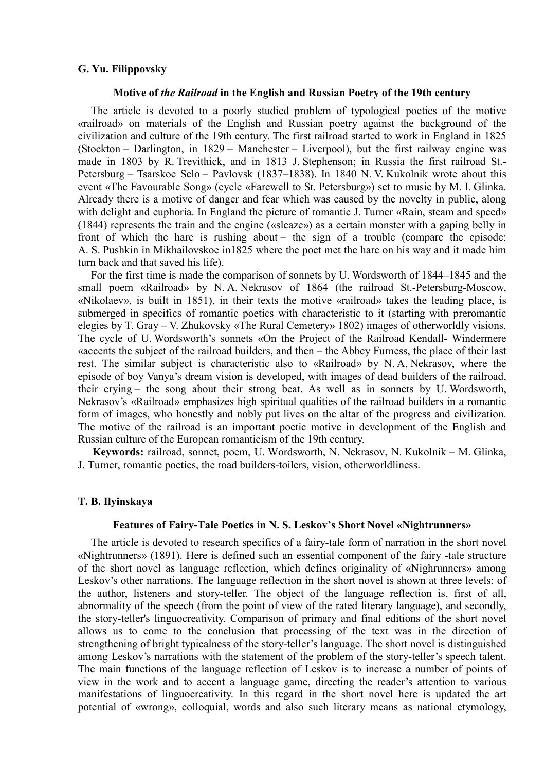## **G. Yu. Filippovsky**

#### **Motive of** *the Railroad* **in the English and Russian Poetry of the 19th century**

The article is devoted to a poorly studied problem of typological poetics of the motive «railroad» on materials of the English and Russian poetry against the background of the civilization and culture of the 19th century. The first railroad started to work in England in 1825 (Stockton – Darlington, in 1829 – Manchester – Liverpool), but the first railway engine was made in 1803 by R. Trevithick, and in 1813 J. Stephenson; in Russia the first railroad St.- Petersburg – Tsarskoe Selo – Pavlovsk (1837–1838). In 1840 N. V. Kukolnik wrote about this event «The Favourable Song» (cycle «Farewell to St. Petersburg») set to music by M. I. Glinka. Already there is a motive of danger and fear which was caused by the novelty in public, along with delight and euphoria. In England the picture of romantic J. Turner «Rain, steam and speed» (1844) represents the train and the engine («sleaze») as a certain monster with a gaping belly in front of which the hare is rushing about – the sign of a trouble (compare the episode: A. S. Pushkin in Mikhailovskoe in1825 where the poet met the hare on his way and it made him turn back and that saved his life).

For the first time is made the comparison of sonnets by U. Wordsworth of 1844–1845 and the small poem «Railroad» by N. A. Nekrasov of 1864 (the railroad St.-Petersburg-Moscow, «Nikolaev», is built in 1851), in their texts the motive «railroad» takes the leading place, is submerged in specifics of romantic poetics with characteristic to it (starting with preromantic elegies by T. Gray – V. Zhukovsky «The Rural Cemetery» 1802) images of otherworldly visions. The cycle of U. Wordsworth's sonnets «On the Project of the Railroad Kendall- Windermere «accents the subject of the railroad builders, and then – the Abbey Furness, the place of their last rest. The similar subject is characteristic also to «Railroad» by N. A. Nekrasov, where the episode of boy Vanya's dream vision is developed, with images of dead builders of the railroad, their crying – the song about their strong beat. As well as in sonnets by U. Wordsworth, Nekrasov's «Railroad» emphasizes high spiritual qualities of the railroad builders in a romantic form of images, who honestly and nobly put lives on the altar of the progress and civilization. The motive of the railroad is an important poetic motive in development of the English and Russian culture of the European romanticism of the 19th century.

**Keywords:** railroad, sonnet, poem, U. Wordsworth, N. Nekrasov, N. Kukolnik – M. Glinka, J. Turner, romantic poetics, the road builders-toilers, vision, otherworldliness.

### **T. B. Ilyinskaya**

### **Features of Fairy-Tale Poetics in N. S. Leskov's Short Novel «Nightrunners»**

The article is devoted to research specifics of a fairy-tale form of narration in the short novel «Nightrunners» (1891). Here is defined such an essential component of the fairy -tale structure of the short novel as language reflection, which defines originality of «Nighrunners» among Leskov's other narrations. The language reflection in the short novel is shown at three levels: of the author, listeners and story-teller. The object of the language reflection is, first of all, abnormality of the speech (from the point of view of the rated literary language), and secondly, the story-teller's linguocreativity. Comparison of primary and final editions of the short novel allows us to come to the conclusion that processing of the text was in the direction of strengthening of bright typicalness of the story-teller's language. The short novel is distinguished among Leskov's narrations with the statement of the problem of the story-teller's speech talent. The main functions of the language reflection of Leskov is to increase a number of points of view in the work and to accent a language game, directing the reader's attention to various manifestations of linguocreativity. In this regard in the short novel here is updated the art potential of «wrong», colloquial, words and also such literary means as national etymology,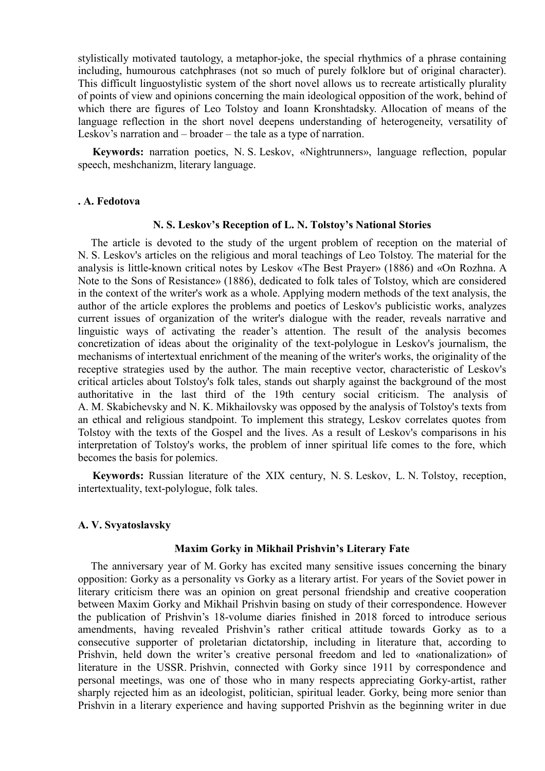stylistically motivated tautology, a metaphor-joke, the special rhythmics of a phrase containing including, humourous catchphrases (not so much of purely folklore but of original character). This difficult linguostylistic system of the short novel allows us to recreate artistically plurality of points of view and opinions concerning the main ideological opposition of the work, behind of which there are figures of Leo Tolstoy and Ioann Kronshtadsky. Allocation of means of the language reflection in the short novel deepens understanding of heterogeneity, versatility of Leskov's narration and – broader – the tale as a type of narration.

**Keywords:** narration poetics, N. S. Leskov, «Nightrunners», language reflection, popular speech, meshchanizm, literary language.

## **. A. Fedotova**

# **N. S. Leskov's Reception of L. N. Tolstoy's National Stories**

The article is devoted to the study of the urgent problem of reception on the material of N. S. Leskov's articles on the religious and moral teachings of Leo Tolstoy. The material for the analysis is little-known critical notes by Leskov «The Best Prayer» (1886) and «On Rozhna. A Note to the Sons of Resistance» (1886), dedicated to folk tales of Tolstoy, which are considered in the context of the writer's work as a whole. Applying modern methods of the text analysis, the author of the article explores the problems and poetics of Leskov's publicistic works, analyzes current issues of organization of the writer's dialogue with the reader, reveals narrative and linguistic ways of activating the reader's attention. The result of the analysis becomes concretization of ideas about the originality of the text-polylogue in Leskov's journalism, the mechanisms of intertextual enrichment of the meaning of the writer's works, the originality of the receptive strategies used by the author. The main receptive vector, characteristic of Leskov's critical articles about Tolstoy's folk tales, stands out sharply against the background of the most authoritative in the last third of the 19th century social criticism. The analysis of A. M. Skabichevsky and N. K. Mikhailovsky was opposed by the analysis of Tolstoy's texts from an ethical and religious standpoint. To implement this strategy, Leskov correlates quotes from Tolstoy with the texts of the Gospel and the lives. As a result of Leskov's comparisons in his interpretation of Tolstoy's works, the problem of inner spiritual life comes to the fore, which becomes the basis for polemics.

**Keywords:** Russian literature of the XIX century, N. S. Leskov, L. N. Tolstoy, reception, intertextuality, text-polylogue, folk tales.

## **A. V. Svyatoslavsky**

## **Maxim Gorky in Mikhail Prishvin's Literary Fate**

The anniversary year of M. Gorky has excited many sensitive issues concerning the binary opposition: Gorky as a personality vs Gorky as a literary artist. For years of the Soviet power in literary criticism there was an opinion on great personal friendship and creative cooperation between Maxim Gorky and Mikhail Prishvin basing on study of their correspondence. However the publication of Prishvin's 18-volume diaries finished in 2018 forced to introduce serious amendments, having revealed Prishvin's rather critical attitude towards Gorky as to a consecutive supporter of proletarian dictatorship, including in literature that, according to Prishvin, held down the writer's creative personal freedom and led to «nationalization» of literature in the USSR. Prishvin, connected with Gorky since 1911 by correspondence and personal meetings, was one of those who in many respects appreciating Gorky-artist, rather sharply rejected him as an ideologist, politician, spiritual leader. Gorky, being more senior than Prishvin in a literary experience and having supported Prishvin as the beginning writer in due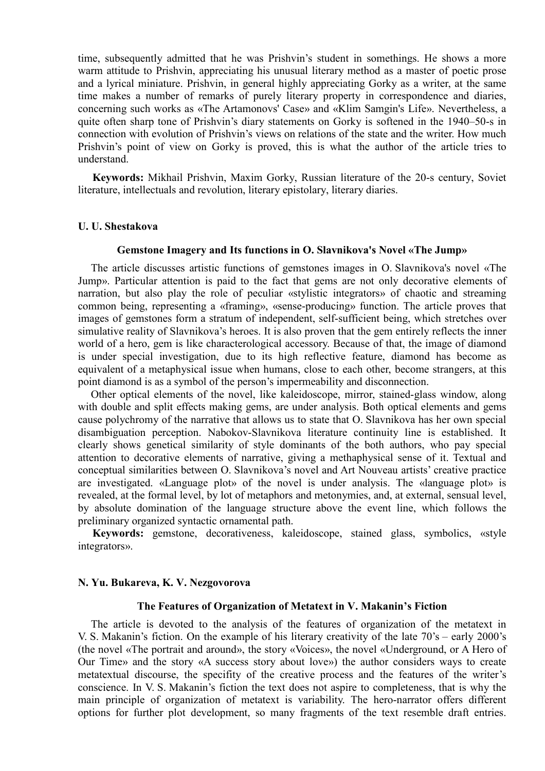time, subsequently admitted that he was Prishvin's student in somethings. He shows a more warm attitude to Prishvin, appreciating his unusual literary method as a master of poetic prose and a lyrical miniature. Prishvin, in general highly appreciating Gorky as a writer, at the same time makes a number of remarks of purely literary property in correspondence and diaries, concerning such works as «The Artamonovs' Case» and «Klim Samgin's Life». Nevertheless, a quite often sharp tone of Prishvin's diary statements on Gorky is softened in the 1940–50-s in connection with evolution of Prishvin's views on relations of the state and the writer. How much Prishvin's point of view on Gorky is proved, this is what the author of the article tries to understand.

**Keywords:** Mikhail Prishvin, Maxim Gorky, Russian literature of the 20-s century, Soviet literature, intellectuals and revolution, literary epistolary, literary diaries.

### **U. U. Shestakova**

#### **Gemstone Imagery and Its functions in O. Slavnikova's Novel «The Jump»**

The article discusses artistic functions of gemstones images in O. Slavnikova's novel «The Jump». Particular attention is paid to the fact that gems are not only decorative elements of narration, but also play the role of peculiar «stylistic integrators» of chaotic and streaming common being, representing a «framing», «sense-producing» function. The article proves that images of gemstones form a stratum of independent, self-sufficient being, which stretches over simulative reality of Slavnikova's heroes. It is also proven that the gem entirely reflects the inner world of a hero, gem is like characterological accessory. Because of that, the image of diamond is under special investigation, due to its high reflective feature, diamond has become as equivalent of a metaphysical issue when humans, close to each other, become strangers, at this point diamond is as a symbol of the person's impermeability and disconnection.

Other optical elements of the novel, like kaleidoscope, mirror, stained-glass window, along with double and split effects making gems, are under analysis. Both optical elements and gems cause polychromy of the narrative that allows us to state that O. Slavnikova has her own special disambiguation perception. Nabokov-Slavnikova literature continuity line is established. It clearly shows genetical similarity of style dominants of the both authors, who pay special attention to decorative elements of narrative, giving a methaphysical sense of it. Textual and conceptual similarities between O. Slavnikova's novel and Art Nouveau artists' creative practice are investigated. «Language plot» of the novel is under analysis. The «language plot» is revealed, at the formal level, by lot of metaphors and metonymies, and, at external, sensual level, by absolute domination of the language structure above the event line, which follows the preliminary organized syntactic ornamental path.

**Keywords:** gemstone, decorativeness, kaleidoscope, stained glass, symbolics, «style integrators».

#### **N. Yu. Bukareva, K. V. Nezgovorova**

#### **The Features of Organization of Metatext in V. Makanin's Fiction**

The article is devoted to the analysis of the features of organization of the metatext in V. S. Makanin's fiction. On the example of his literary creativity of the late 70's – early 2000's (the novel «The portrait and around», the story «Voices», the novel «Underground, or A Hero of Our Time» and the story «A success story about love») the author considers ways to create metatextual discourse, the specifity of the creative process and the features of the writer's conscience. In V. S. Makanin's fiction the text does not aspire to completeness, that is why the main principle of organization of metatext is variability. The hero-narrator offers different options for further plot development, so many fragments of the text resemble draft entries.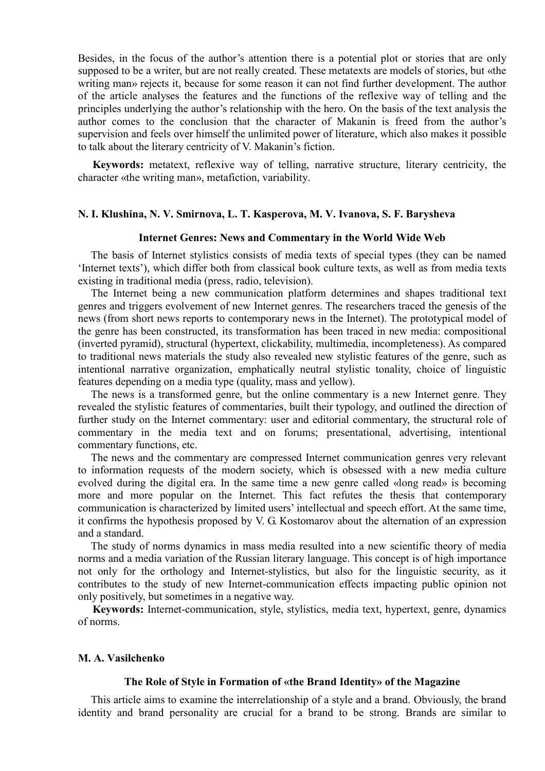Besides, in the focus of the author's attention there is a potential plot or stories that are only supposed to be a writer, but are not really created. These metatexts are models of stories, but «the writing man» rejects it, because for some reason it can not find further development. The author of the article analyses the features and the functions of the reflexive way of telling and the principles underlying the author's relationship with the hero. On the basis of the text analysis the author comes to the conclusion that the character of Makanin is freed from the author's supervision and feels over himself the unlimited power of literature, which also makes it possible to talk about the literary centricity of V. Makanin's fiction.

**Keywords:** metatext, reflexive way of telling, narrative structure, literary centricity, the character «the writing man», metafiction, variability.

### **N. I. Klushina, N. V. Smirnova, L. T. Kasperova, M. V. Ivanova, S. F. Barysheva**

#### **Internet Genres: News and Commentary in the World Wide Web**

The basis of Internet stylistics consists of media texts of special types (they can be named 'Internet texts'), which differ both from classical book culture texts, as well as from media texts existing in traditional media (press, radio, television).

The Internet being a new communication platform determines and shapes traditional text genres and triggers evolvement of new Internet genres. The researchers traced the genesis of the news (from short news reports to contemporary news in the Internet). The prototypical model of the genre has been constructed, its transformation has been traced in new media: compositional (inverted pyramid), structural (hypertext, clickability, multimedia, incompleteness). As compared to traditional news materials the study also revealed new stylistic features of the genre, such as intentional narrative organization, emphatically neutral stylistic tonality, choice of linguistic features depending on a media type (quality, mass and yellow).

The news is a transformed genre, but the online commentary is a new Internet genre. They revealed the stylistic features of commentaries, built their typology, and outlined the direction of further study on the Internet commentary: user and editorial commentary, the structural role of commentary in the media text and on forums; presentational, advertising, intentional commentary functions, etc.

The news and the commentary are compressed Internet communication genres very relevant to information requests of the modern society, which is obsessed with a new media culture evolved during the digital era. In the same time a new genre called «long read» is becoming more and more popular on the Internet. This fact refutes the thesis that contemporary communication is characterized by limited users' intellectual and speech effort. At the same time, it confirms the hypothesis proposed by V. G. Kostomarov about the alternation of an expression and a standard.

The study of norms dynamics in mass media resulted into a new scientific theory of media norms and a media variation of the Russian literary language. This concept is of high importance not only for the orthology and Internet-stylistics, but also for the linguistic security, as it contributes to the study of new Internet-communication effects impacting public opinion not only positively, but sometimes in a negative way.

**Keywords:** Internet-communication, style, stylistics, media text, hypertext, genre, dynamics of norms.

# **M. A. Vasilchenko**

#### **The Role of Style in Formation of «the Brand Identity» of the Magazine**

This article aims to examine the interrelationship of a style and a brand. Obviously, the brand identity and brand personality are crucial for a brand to be strong. Brands are similar to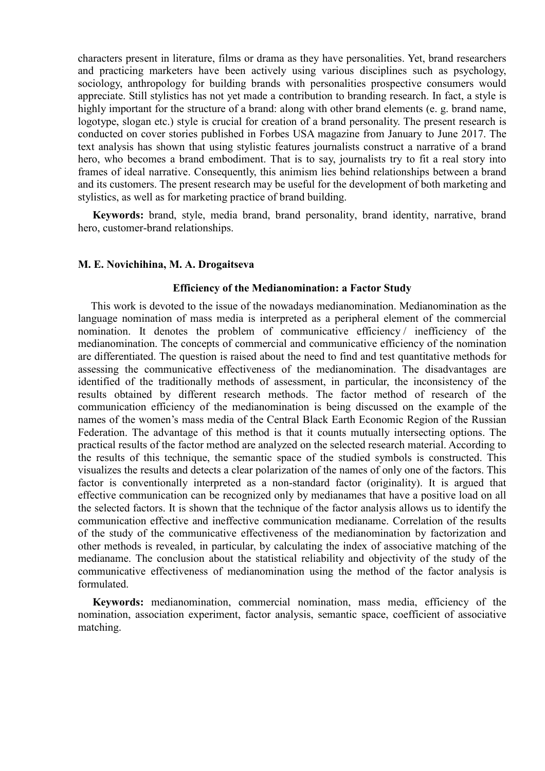characters present in literature, films or drama as they have personalities. Yet, brand researchers and practicing marketers have been actively using various disciplines such as psychology, sociology, anthropology for building brands with personalities prospective consumers would appreciate. Still stylistics has not yet made a contribution to branding research. In fact, a style is highly important for the structure of a brand: along with other brand elements (e. g. brand name, logotype, slogan etc.) style is crucial for creation of a brand personality. The present research is conducted on cover stories published in Forbes USA magazine from January to June 2017. The text analysis has shown that using stylistic features journalists construct a narrative of a brand hero, who becomes a brand embodiment. That is to say, journalists try to fit a real story into frames of ideal narrative. Consequently, this animism lies behind relationships between a brand and its customers. The present research may be useful for the development of both marketing and stylistics, as well as for marketing practice of brand building.

**Keywords:** brand, style, media brand, brand personality, brand identity, narrative, brand hero, customer-brand relationships.

## **М. Е. Novichihina, М. А. Drogaitseva**

### **Efficiency of the Medianomination: a Factor Study**

This work is devoted to the issue of the nowadays medianomination. Medianomination as the language nomination of mass media is interpreted as a peripheral element of the commercial nomination. It denotes the problem of communicative efficiency / inefficiency of the medianomination. The concepts of commercial and communicative efficiency of the nomination are differentiated. The question is raised about the need to find and test quantitative methods for assessing the communicative effectiveness of the medianomination. The disadvantages are identified of the traditionally methods of assessment, in particular, the inconsistency of the results obtained by different research methods. The factor method of research of the communication efficiency of the medianomination is being discussed on the example of the names of the women's mass media of the Central Black Earth Economic Region of the Russian Federation. The advantage of this method is that it counts mutually intersecting options. The practical results of the factor method are analyzed on the selected research material. According to the results of this technique, the semantic space of the studied symbols is constructed. This visualizes the results and detects a clear polarization of the names of only one of the factors. This factor is conventionally interpreted as a non-standard factor (originality). It is argued that effective communication can be recognized only by medianames that have a positive load on all the selected factors. It is shown that the technique of the factor analysis allows us to identify the communication effective and ineffective communication medianame. Correlation of the results of the study of the communicative effectiveness of the medianomination by factorization and other methods is revealed, in particular, by calculating the index of associative matching of the medianame. The conclusion about the statistical reliability and objectivity of the study of the communicative effectiveness of medianomination using the method of the factor analysis is formulated.

**Keywords:** medianomination, commercial nomination, mass media, efficiency of the nomination, association experiment, factor analysis, semantic space, coefficient of associative matching.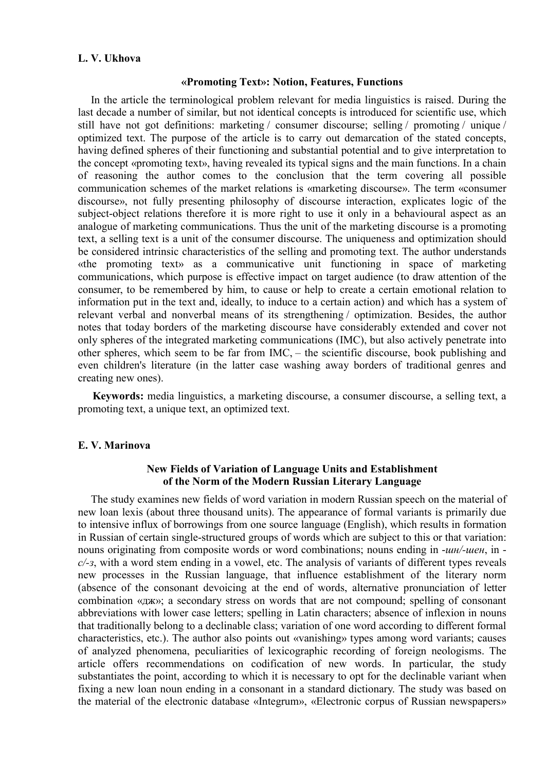# **L. V. Ukhova**

### **«Promoting Text»: Notion, Features, Functions**

In the article the terminological problem relevant for media linguistics is raised. During the last decade a number of similar, but not identical concepts is introduced for scientific use, which still have not got definitions: marketing / consumer discourse; selling / promoting / unique / optimized text. The purpose of the article is to carry out demarcation of the stated concepts, having defined spheres of their functioning and substantial potential and to give interpretation to the concept «promoting text», having revealed its typical signs and the main functions. In a chain of reasoning the author comes to the conclusion that the term covering all possible communication schemes of the market relations is «marketing discourse». The term «consumer discourse», not fully presenting philosophy of discourse interaction, explicates logic of the subject-object relations therefore it is more right to use it only in a behavioural aspect as an analogue of marketing communications. Thus the unit of the marketing discourse is a promoting text, a selling text is a unit of the consumer discourse. The uniqueness and optimization should be considered intrinsic characteristics of the selling and promoting text. The author understands «the promoting text» as a communicative unit functioning in space of marketing communications, which purpose is effective impact on target audience (to draw attention of the consumer, to be remembered by him, to cause or help to create a certain emotional relation to information put in the text and, ideally, to induce to a certain action) and which has a system of relevant verbal and nonverbal means of its strengthening / optimization. Besides, the author notes that today borders of the marketing discourse have considerably extended and cover not only spheres of the integrated marketing communications (IMC), but also actively penetrate into other spheres, which seem to be far from IMC, – the scientific discourse, book publishing and even children's literature (in the latter case washing away borders of traditional genres and creating new ones).

**Keywords:** media linguistics, a marketing discourse, a consumer discourse, a selling text, a promoting text, a unique text, an optimized text.

# **E. V. Marinova**

# **New Fields of Variation of Language Units and Establishment of the Norm of the Modern Russian Literary Language**

The study examines new fields of word variation in modern Russian speech on the material of new loan lexis (about three thousand units). The appearance of formal variants is primarily due to intensive influx of borrowings from one source language (English), which results in formation in Russian of certain single-structured groups of words which are subject to this or that variation: nouns originating from composite words or word combinations; nouns ending in -*шн/-шен*, in *с/-з*, with a word stem ending in a vowel, etc. The analysis of variants of different types reveals new processes in the Russian language, that influence establishment of the literary norm (absence of the consonant devoicing at the end of words, alternative pronunciation of letter combination «дж»; a secondary stress on words that are not compound; spelling of consonant abbreviations with lower case letters; spelling in Latin characters; absence of inflexion in nouns that traditionally belong to a declinable class; variation of one word according to different formal characteristics, etc.). The author also points out «vanishing» types among word variants; causes of analyzed phenomena, peculiarities of lexicographic recording of foreign neologisms. The article offers recommendations on codification of new words. In particular, the study substantiates the point, according to which it is necessary to opt for the declinable variant when fixing a new loan noun ending in a consonant in a standard dictionary. The study was based on the material of the electronic database «Integrum», «Electronic corpus of Russian newspapers»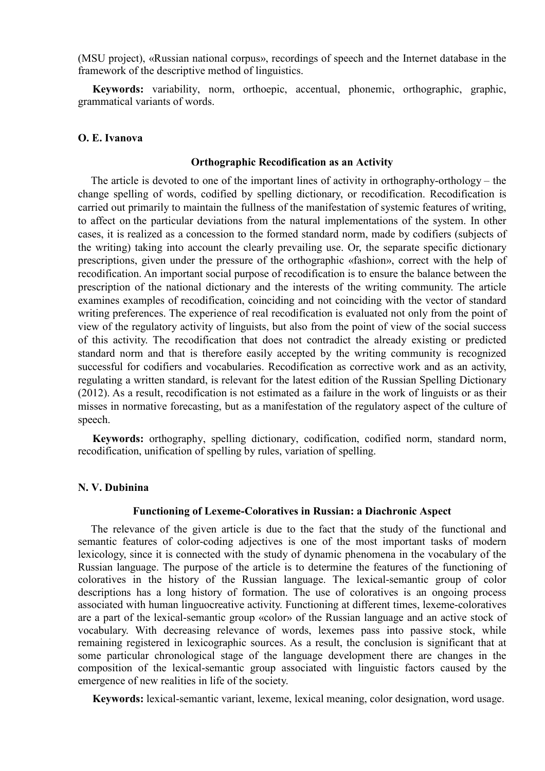(MSU project), «Russian national corpus», recordings of speech and the Internet database in the framework of the descriptive method of linguistics.

**Keywords:** variability, norm, orthoepic, accentual, phonemic, orthographic, graphic, grammatical variants of words.

# **O. E. Ivanova**

## **Orthographic Recodification as an Activity**

The article is devoted to one of the important lines of activity in orthography-orthology – the change spelling of words, codified by spelling dictionary, or recodification. Recodification is carried out primarily to maintain the fullness of the manifestation of systemic features of writing, to affect on the particular deviations from the natural implementations of the system. In other cases, it is realized as a concession to the formed standard norm, made by codifiers (subjects of the writing) taking into account the clearly prevailing use. Or, the separate specific dictionary prescriptions, given under the pressure of the orthographic «fashion», correct with the help of recodification. An important social purpose of recodification is to ensure the balance between the prescription of the national dictionary and the interests of the writing community. The article examines examples of recodification, coinciding and not coinciding with the vector of standard writing preferences. The experience of real recodification is evaluated not only from the point of view of the regulatory activity of linguists, but also from the point of view of the social success of this activity. The recodification that does not contradict the already existing or predicted standard norm and that is therefore easily accepted by the writing community is recognized successful for codifiers and vocabularies. Recodification as corrective work and as an activity, regulating a written standard, is relevant for the latest edition of the Russian Spelling Dictionary (2012). As a result, recodification is not estimated as a failure in the work of linguists or as their misses in normative forecasting, but as a manifestation of the regulatory aspect of the culture of speech.

**Keywords:** orthography, spelling dictionary, codification, codified norm, standard norm, recodification, unification of spelling by rules, variation of spelling.

## **N. V. Dubinina**

## **Functioning of Lexeme-Coloratives in Russian: a Diachronic Aspect**

Тhe relevance of the given article is due to the fact that the study of the functional and semantic features of color-coding adjectives is one of the most important tasks of modern lexicology, since it is connected with the study of dynamic phenomena in the vocabulary of the Russian language. The purpose of the article is to determine the features of the functioning of coloratives in the history of the Russian language. The lexical-semantic group of color descriptions has a long history of formation. The use of coloratives is an ongoing process associated with human linguocreative activity. Functioning at different times, lexeme-coloratives are a part of the lexical-semantic group «color» of the Russian language and an active stock of vocabulary. With decreasing relevance of words, lexemes pass into passive stock, while remaining registered in lexicographic sources. As a result, the conclusion is significant that at some particular chronological stage of the language development there are changes in the composition of the lexical-semantic group associated with linguistic factors caused by the emergence of new realities in life of the society.

**Keywords:** lexical-semantic variant, lexeme, lexical meaning, color designation, word usage.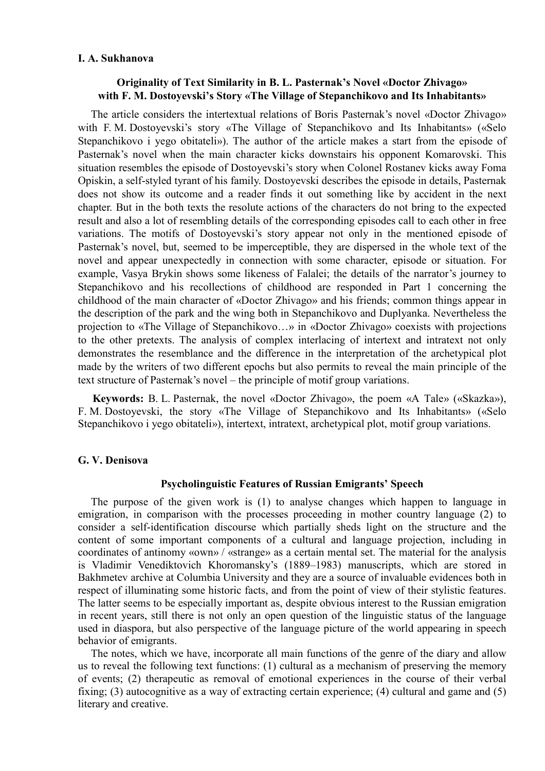## **I. A. Sukhanova**

# **Originality of Text Similarity in B. L. Pasternak's Novel «Doctor Zhivago» with F. M. Dostoyevski's Story «The Village of Stepanchikovo and Its Inhabitants»**

The article considers the intertextual relations of Boris Pasternak's novel «Doctor Zhivago» with F. M. Dostoyevski's story «The Village of Stepanchikovo and Its Inhabitants» («Selo Stepanchikovo i yego obitateli»). The author of the article makes a start from the episode of Pasternak's novel when the main character kicks downstairs his opponent Komarovski. This situation resembles the episode of Dostoyevski's story when Colonel Rostanev kicks away Foma Opiskin, a self-styled tyrant of his family. Dostoyevski describes the episode in details, Pasternak does not show its outcome and a reader finds it out something like by accident in the next chapter. But in the both texts the resolute actions of the characters do not bring to the expected result and also a lot of resembling details of the corresponding episodes call to each other in free variations. The motifs of Dostoyevski's story appear not only in the mentioned episode of Pasternak's novel, but, seemed to be imperceptible, they are dispersed in the whole text of the novel and appear unexpectedly in connection with some character, episode or situation. For example, Vasya Brykin shows some likeness of Falalei; the details of the narrator's journey to Stepanchikovo and his recollections of childhood are responded in Part 1 concerning the childhood of the main character of «Doctor Zhivago» and his friends; common things appear in the description of the park and the wing both in Stepanchikovo and Duplyanka. Nevertheless the projection to «The Village of Stepanchikovo…» in «Doctor Zhivago» coexists with projections to the other pretexts. The analysis of complex interlacing of intertext and intratext not only demonstrates the resemblance and the difference in the interpretation of the archetypical plot made by the writers of two different epochs but also permits to reveal the main principle of the text structure of Pasternak's novel – the principle of motif group variations.

**Keywords:** B. L. Pasternak, the novel «Doctor Zhivago», the poem «A Tale» («Skazka»), F. M. Dostoyevski, the story «The Village of Stepanchikovo and Its Inhabitants» («Selo Stepanchikovo i yego obitateli»), intertext, intratext, archetypical plot, motif group variations.

#### **G. V. Denisova**

## **Psycholinguistic Features of Russian Emigrants' Speech**

The purpose of the given work is (1) to analyse changes which happen to language in emigration, in comparison with the processes proceeding in mother country language (2) to consider a self-identification discourse which partially sheds light on the structure and the content of some important components of a cultural and language projection, including in coordinates of antinomy «own» / «strange» as a certain mental set. The material for the analysis is Vladimir Venediktovich Khoromansky's (1889–1983) manuscripts, which are stored in Bakhmetev archive at Columbia University and they are a source of invaluable evidences both in respect of illuminating some historic facts, and from the point of view of their stylistic features. The latter seems to be especially important as, despite obvious interest to the Russian emigration in recent years, still there is not only an open question of the linguistic status of the language used in diaspora, but also perspective of the language picture of the world appearing in speech behavior of emigrants.

The notes, which we have, incorporate all main functions of the genre of the diary and allow us to reveal the following text functions: (1) cultural as a mechanism of preserving the memory of events; (2) therapeutic as removal of emotional experiences in the course of their verbal fixing; (3) autocognitive as a way of extracting certain experience; (4) cultural and game and (5) literary and creative.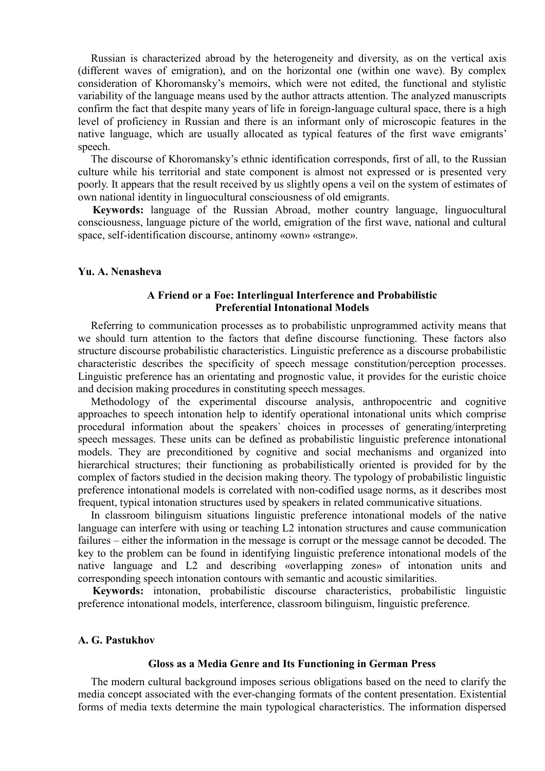Russian is characterized abroad by the heterogeneity and diversity, as on the vertical axis (different waves of emigration), and on the horizontal one (within one wave). By complex consideration of Khoromansky's memoirs, which were not edited, the functional and stylistic variability of the language means used by the author attracts attention. The analyzed manuscripts confirm the fact that despite many years of life in foreign-language cultural space, there is a high level of proficiency in Russian and there is an informant only of microscopic features in the native language, which are usually allocated as typical features of the first wave emigrants' speech.

The discourse of Khoromansky's ethnic identification corresponds, first of all, to the Russian culture while his territorial and state component is almost not expressed or is presented very poorly. It appears that the result received by us slightly opens a veil on the system of estimates of own national identity in linguocultural consciousness of old emigrants.

**Keywords:** language of the Russian Abroad, mother country language, linguocultural consciousness, language picture of the world, emigration of the first wave, national and cultural space, self-identification discourse, antinomy «own» «strange».

### **Yu. A. Nenasheva**

# **A Friend or a Foe: Interlingual Interference and Probabilistic Preferential Intonational Models**

Referring to communication processes as to probabilistic unprogrammed activity means that we should turn attention to the factors that define discourse functioning. These factors also structure discourse probabilistic characteristics. Linguistic preference as a discourse probabilistic characteristic describes the specificity of speech message constitution/perception processes. Linguistic preference has an orientating and prognostic value, it provides for the euristic choice and decision making procedures in constituting speech messages.

Methodology of the experimental discourse analysis, anthropocentric and cognitive approaches to speech intonation help to identify operational intonational units which comprise procedural information about the speakers` choices in processes of generating/interpreting speech messages. These units can be defined as probabilistic linguistic preference intonational models. They are preconditioned by cognitive and social mechanisms and organized into hierarchical structures; their functioning as probabilistically oriented is provided for by the complex of factors studied in the decision making theory. The typology of probabilistic linguistic preference intonational models is correlated with non-codified usage norms, as it describes most frequent, typical intonation structures used by speakers in related communicative situations.

In classroom bilinguism situations linguistic preference intonational models of the native language can interfere with using or teaching L2 intonation structures and cause communication failures – either the information in the message is corrupt or the message cannot be decoded. The key to the problem can be found in identifying linguistic preference intonational models of the native language and L2 and describing «overlapping zones» of intonation units and corresponding speech intonation contours with semantic and acoustic similarities.

**Keywords:** intonation, probabilistic discourse characteristics, probabilistic linguistic preference intonational models, interference, classroom bilinguism, linguistic preference.

## **A. G. Pastukhov**

#### **Gloss as a Media Genre and Its Functioning in German Press**

The modern cultural background imposes serious obligations based on the need to clarify the media concept associated with the ever-changing formats of the content presentation. Existential forms of media texts determine the main typological characteristics. The information dispersed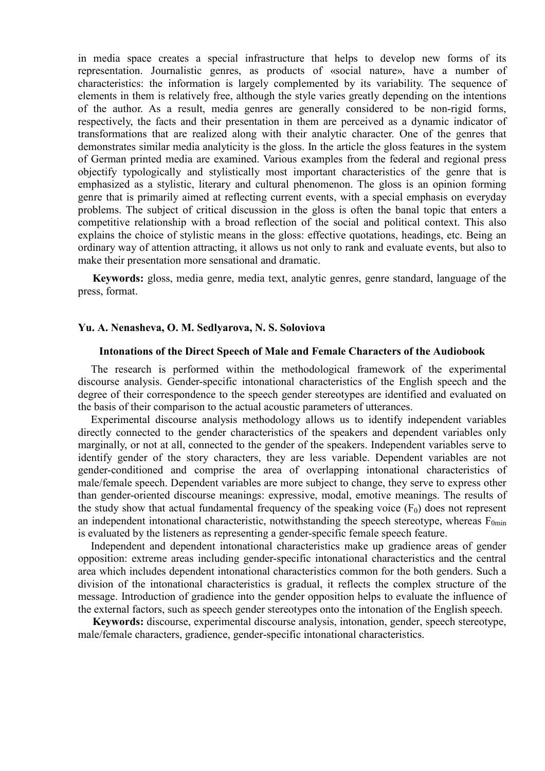in media space creates a special infrastructure that helps to develop new forms of its representation. Journalistic genres, as products of «social nature», have a number of characteristics: the information is largely complemented by its variability. The sequence of elements in them is relatively free, although the style varies greatly depending on the intentions of the author. As a result, media genres are generally considered to be non-rigid forms, respectively, the facts and their presentation in them are perceived as a dynamic indicator of transformations that are realized along with their analytic character. One of the genres that demonstrates similar media analyticity is the gloss. In the article the gloss features in the system of German printed media are examined. Various examples from the federal and regional press objectify typologically and stylistically most important characteristics of the genre that is emphasized as a stylistic, literary and cultural phenomenon. The gloss is an opinion forming genre that is primarily aimed at reflecting current events, with a special emphasis on everyday problems. The subject of critical discussion in the gloss is often the banal topic that enters a competitive relationship with a broad reflection of the social and political context. This also explains the choice of stylistic means in the gloss: effective quotations, headings, etc. Being an ordinary way of attention attracting, it allows us not only to rank and evaluate events, but also to make their presentation more sensational and dramatic.

**Keywords:** gloss, media genre, media text, analytic genres, genre standard, language of the press, format.

# **Yu. A. Nenasheva, O. M. Sedlyarova, N. S. Soloviova**

#### **Intonations of the Direct Speech of Male and Female Characters of the Audiobook**

The research is performed within the methodological framework of the experimental discourse analysis. Gender-specific intonational characteristics of the English speech and the degree of their correspondence to the speech gender stereotypes are identified and evaluated on the basis of their comparison to the actual acoustic parameters of utterances.

Experimental discourse analysis methodology allows us to identify independent variables directly connected to the gender characteristics of the speakers and dependent variables only marginally, or not at all, connected to the gender of the speakers. Independent variables serve to identify gender of the story characters, they are less variable. Dependent variables are not gender-conditioned and comprise the area of overlapping intonational characteristics of male/female speech. Dependent variables are more subject to change, they serve to express other than gender-oriented discourse meanings: expressive, modal, emotive meanings. The results of the study show that actual fundamental frequency of the speaking voice  $(F_0)$  does not represent an independent intonational characteristic, notwithstanding the speech stereotype, whereas  $F_{0min}$ is evaluated by the listeners as representing a gender-specific female speech feature.

Independent and dependent intonational characteristics make up gradience areas of gender opposition: extreme areas including gender-specific intonational characteristics and the central area which includes dependent intonational characteristics common for the both genders. Such a division of the intonational characteristics is gradual, it reflects the complex structure of the message. Introduction of gradience into the gender opposition helps to evaluate the influence of the external factors, such as speech gender stereotypes onto the intonation of the English speech.

**Keywords:** discourse, experimental discourse analysis, intonation, gender, speech stereotype, male/female characters, gradience, gender-specific intonational characteristics.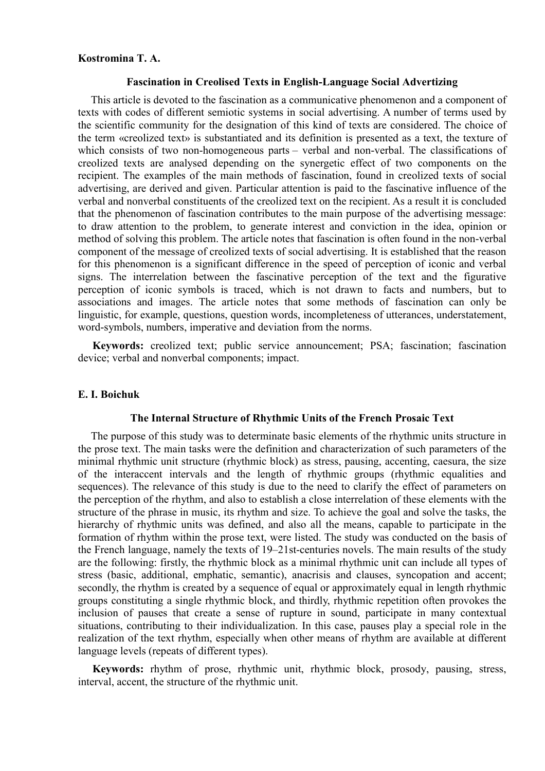# **Kostromina T. A.**

### **Fascination in Creolised Texts in English-Language Social Advertizing**

This article is devoted to the fascination as a communicative phenomenon and a component of texts with codes of different semiotic systems in social advertising. A number of terms used by the scientific community for the designation of this kind of texts are considered. The choice of the term «creolized text» is substantiated and its definition is presented as a text, the texture of which consists of two non-homogeneous parts – verbal and non-verbal. The classifications of creolized texts are analysed depending on the synergetic effect of two components on the recipient. The examples of the main methods of fascination, found in creolized texts of social advertising, are derived and given. Particular attention is paid to the fascinative influence of the verbal and nonverbal constituents of the creolized text on the recipient. As a result it is concluded that the phenomenon of fascination contributes to the main purpose of the advertising message: to draw attention to the problem, to generate interest and conviction in the idea, opinion or method of solving this problem. The article notes that fascination is often found in the non-verbal component of the message of creolized texts of social advertising. It is established that the reason for this phenomenon is a significant difference in the speed of perception of iconic and verbal signs. The interrelation between the fascinative perception of the text and the figurative perception of iconic symbols is traced, which is not drawn to facts and numbers, but to associations and images. The article notes that some methods of fascination can only be linguistic, for example, questions, question words, incompleteness of utterances, understatement, word-symbols, numbers, imperative and deviation from the norms.

**Keywords:** creolized text; public service announcement; PSA; fascination; fascination device; verbal and nonverbal components; impact.

## **E. I. Boichuk**

## **The Internal Structure of Rhythmic Units of the French Prosaic Text**

The purpose of this study was to determinate basic elements of the rhythmic units structure in the prose text. The main tasks were the definition and characterization of such parameters of the minimal rhythmic unit structure (rhythmic block) as stress, pausing, accenting, caesura, the size of the interaccent intervals and the length of rhythmic groups (rhythmic equalities and sequences). The relevance of this study is due to the need to clarify the effect of parameters on the perception of the rhythm, and also to establish a close interrelation of these elements with the structure of the phrase in music, its rhythm and size. To achieve the goal and solve the tasks, the hierarchy of rhythmic units was defined, and also all the means, capable to participate in the formation of rhythm within the prose text, were listed. The study was conducted on the basis of the French language, namely the texts of 19–21st-centuries novels. The main results of the study are the following: firstly, the rhythmic block as a minimal rhythmic unit can include all types of stress (basic, additional, emphatic, semantic), anacrisis and clauses, syncopation and accent; secondly, the rhythm is created by a sequence of equal or approximately equal in length rhythmic groups constituting a single rhythmic block, and thirdly, rhythmic repetition often provokes the inclusion of pauses that create a sense of rupture in sound, participate in many contextual situations, contributing to their individualization. In this case, pauses play a special role in the realization of the text rhythm, especially when other means of rhythm are available at different language levels (repeats of different types).

**Keywords:** rhythm of prose, rhythmic unit, rhythmic block, prosody, pausing, stress, interval, accent, the structure of the rhythmic unit.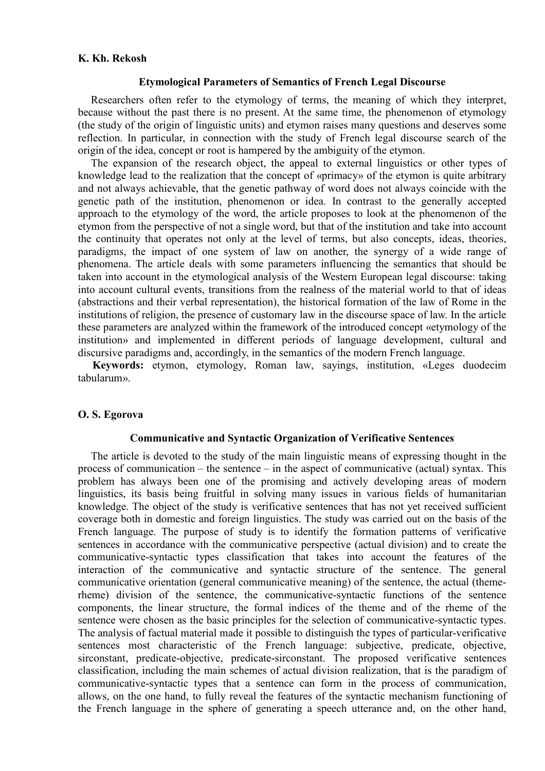## **K. Kh. Rekosh**

### **Etymological Рarameters of Semantics of French Legal Discourse**

Researchers often refer to the etymology of terms, the meaning of which they interpret, because without the past there is no present. At the same time, the phenomenon of etymology (the study of the origin of linguistic units) and etymon raises many questions and deserves some reflection. In particular, in connection with the study of French legal discourse search of the origin of the idea, concept or root is hampered by the ambiguity of the etymon.

The expansion of the research object, the appeal to external linguistics or other types of knowledge lead to the realization that the concept of «primacy» of the etymon is quite arbitrary and not always achievable, that the genetic pathway of word does not always coincide with the genetic path of the institution, phenomenon or idea. In contrast to the generally accepted approach to the etymology of the word, the article proposes to look at the phenomenon of the etymon from the perspective of not a single word, but that of the institution and take into account the continuity that operates not only at the level of terms, but also concepts, ideas, theories, paradigms, the impact of one system of law on another, the synergy of a wide range of phenomena. The article deals with some parameters influencing the semantics that should be taken into account in the etymological analysis of the Western European legal discourse: taking into account cultural events, transitions from the realness of the material world to that of ideas (abstractions and their verbal representation), the historical formation of the law of Rome in the institutions of religion, the presence of customary law in the discourse space of law. In the article these parameters are analyzed within the framework of the introduced concept «etymology of the institution» and implemented in different periods of language development, cultural and discursive paradigms and, accordingly, in the semantics of the modern French language.

**Keywords:** etymon, etymology, Roman law, sayings, institution, «Leges duodecim tabularum».

## **O. S. Egorova**

# **Communicative and Syntactic Organization of Verificative Sentences**

The article is devoted to the study of the main linguistic means of expressing thought in the process of communication – the sentence – in the aspect of communicative (actual) syntax. This problem has always been one of the promising and actively developing areas of modern linguistics, its basis being fruitful in solving many issues in various fields of humanitarian knowledge. The object of the study is verificative sentences that has not yet received sufficient coverage both in domestic and foreign linguistics. The study was carried out on the basis of the French language. The purpose of study is to identify the formation patterns of verificative sentences in accordance with the communicative perspective (actual division) and to create the communicative-syntactic types classification that takes into account the features of the interaction of the communicative and syntactic structure of the sentence. The general communicative orientation (general communicative meaning) of the sentence, the actual (themerheme) division of the sentence, the communicative-syntactic functions of the sentence components, the linear structure, the formal indices of the theme and of the rheme of the sentence were chosen as the basic principles for the selection of communicative-syntactic types. The analysis of factual material made it possible to distinguish the types of particular-verificative sentences most characteristic of the French language: subjective, predicate, objective, sirconstant, predicate-objective, predicate-sirconstant. The proposed verificative sentences classification, including the main schemes of actual division realization, that is the paradigm of communicative-syntactic types that a sentence can form in the process of communication, allows, on the one hand, to fully reveal the features of the syntactic mechanism functioning of the French language in the sphere of generating a speech utterance and, on the other hand,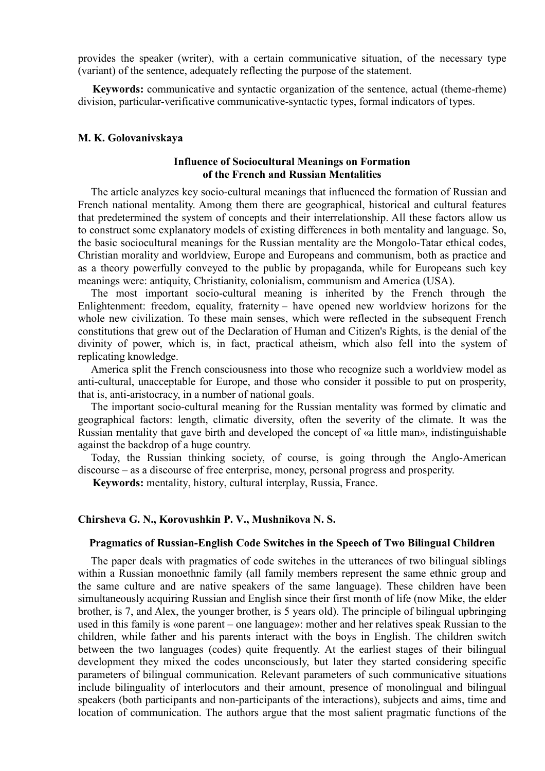provides the speaker (writer), with a certain communicative situation, of the necessary type (variant) of the sentence, adequately reflecting the purpose of the statement.

**Keywords:** communicative and syntactic organization of the sentence, actual (theme-rheme) division, particular-verificative communicative-syntactic types, formal indicators of types.

## **M. K. Golovanivskaya**

## **Influence of Sociocultural Meanings on Formation of the French and Russian Mentalities**

The article analyzes key socio-cultural meanings that influenced the formation of Russian and French national mentality. Among them there are geographical, historical and cultural features that predetermined the system of concepts and their interrelationship. All these factors allow us to construct some explanatory models of existing differences in both mentality and language. So, the basic sociocultural meanings for the Russian mentality are the Mongolo-Tatar ethical codes, Christian morality and worldview, Europe and Europeans and communism, both as practice and as a theory powerfully conveyed to the public by propaganda, while for Europeans such key meanings were: antiquity, Christianity, colonialism, communism and America (USA).

The most important socio-cultural meaning is inherited by the French through the Enlightenment: freedom, equality, fraternity – have opened new worldview horizons for the whole new civilization. To these main senses, which were reflected in the subsequent French constitutions that grew out of the Declaration of Human and Citizen's Rights, is the denial of the divinity of power, which is, in fact, practical atheism, which also fell into the system of replicating knowledge.

America split the French consciousness into those who recognize such a worldview model as anti-cultural, unacceptable for Europe, and those who consider it possible to put on prosperity, that is, anti-aristocracy, in a number of national goals.

The important socio-cultural meaning for the Russian mentality was formed by climatic and geographical factors: length, climatic diversity, often the severity of the climate. It was the Russian mentality that gave birth and developed the concept of «a little man», indistinguishable against the backdrop of a huge country.

Today, the Russian thinking society, of course, is going through the Anglo-American discourse – as a discourse of free enterprise, money, personal progress and prosperity.

**Keywords:** mentality, history, cultural interplay, Russia, France.

#### **Chirsheva G. N., Korovushkin P. V., Mushnikova N. S.**

#### **Pragmatics of Russian-English Code Switches in the Speech of Two Bilingual Children**

The paper deals with pragmatics of code switches in the utterances of two bilingual siblings within a Russian monoethnic family (all family members represent the same ethnic group and the same culture and are native speakers of the same language). These children have been simultaneously acquiring Russian and English since their first month of life (now Mike, the elder brother, is 7, and Alex, the younger brother, is 5 years old). The principle of bilingual upbringing used in this family is «one parent – one language»: mother and her relatives speak Russian to the children, while father and his parents interact with the boys in English. The children switch between the two languages (codes) quite frequently. At the earliest stages of their bilingual development they mixed the codes unconsciously, but later they started considering specific parameters of bilingual communication. Relevant parameters of such communicative situations include bilinguality of interlocutors and their amount, presence of monolingual and bilingual speakers (both participants and non-participants of the interactions), subjects and aims, time and location of communication. The authors argue that the most salient pragmatic functions of the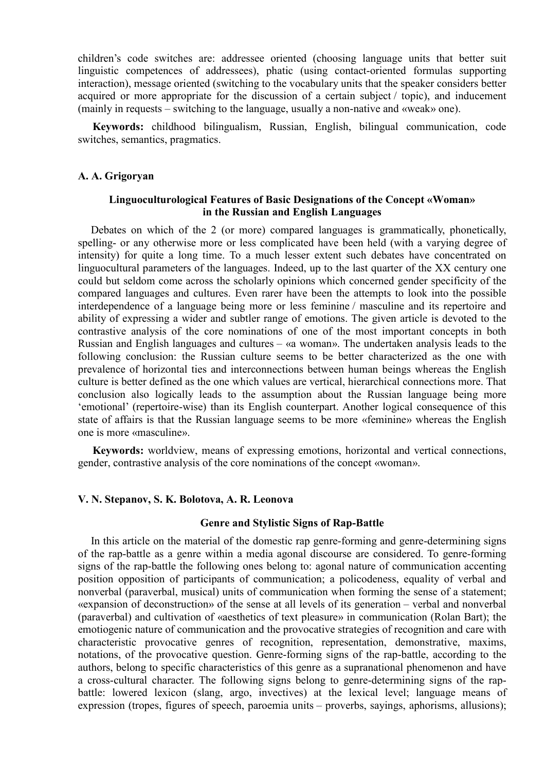children's code switches are: addressee oriented (choosing language units that better suit linguistic competences of addressees), phatic (using contact-oriented formulas supporting interaction), message oriented (switching to the vocabulary units that the speaker considers better acquired or more appropriate for the discussion of a certain subject / topic), and inducement (mainly in requests – switching to the language, usually a non-native and «weak» one).

**Keywords:** childhood bilingualism, Russian, English, bilingual communication, code switches, semantics, pragmatics.

## **A. A. Grigoryan**

# **Linguoculturological Features of Basic Designations of the Concept «Woman» in the Russian and English Languages**

Debates on which of the 2 (or more) compared languages is grammatically, phonetically, spelling- or any otherwise more or less complicated have been held (with a varying degree of intensity) for quite a long time. To a much lesser extent such debates have concentrated on linguocultural parameters of the languages. Indeed, up to the last quarter of the XX century one could but seldom come across the scholarly opinions which concerned gender specificity of the compared languages and cultures. Even rarer have been the attempts to look into the possible interdependence of a language being more or less feminine / masculine and its repertoire and ability of expressing a wider and subtler range of emotions. The given article is devoted to the contrastive analysis of the core nominations of one of the most important concepts in both Russian and English languages and cultures – «a woman». The undertaken analysis leads to the following conclusion: the Russian culture seems to be better characterized as the one with prevalence of horizontal ties and interconnections between human beings whereas the English culture is better defined as the one which values are vertical, hierarchical connections more. That conclusion also logically leads to the assumption about the Russian language being more 'emotional' (repertoire-wise) than its English counterpart. Another logical consequence of this state of affairs is that the Russian language seems to be more «feminine» whereas the English one is more «masculine».

**Keywords:** worldview, means of expressing emotions, horizontal and vertical connections, gender, contrastive analysis of the core nominations of the concept «woman».

## **V. N. Stepanov, S. K. Bolotova, A. R. Leonova**

# **Genre and Stylistic Signs of Rap-Battle**

In this article on the material of the domestic rap genre-forming and genre-determining signs of the rap-battle as a genre within a media agonal discourse are considered. To genre-forming signs of the rap-battle the following ones belong to: agonal nature of communication accenting position opposition of participants of communication; a policodeness, equality of verbal and nonverbal (paraverbal, musical) units of communication when forming the sense of a statement; «expansion of deconstruction» of the sense at all levels of its generation – verbal and nonverbal (paraverbal) and cultivation of «aesthetics of text pleasure» in communication (Rolan Bart); the emotiogenic nature of communication and the provocative strategies of recognition and care with characteristic provocative genres of recognition, representation, demonstrative, maxims, notations, of the provocative question. Genre-forming signs of the rap-battle, according to the authors, belong to specific characteristics of this genre as a supranational phenomenon and have a cross-cultural character. The following signs belong to genre-determining signs of the rapbattle: lowered lexicon (slang, argo, invectives) at the lexical level; language means of expression (tropes, figures of speech, paroemia units – proverbs, sayings, aphorisms, allusions);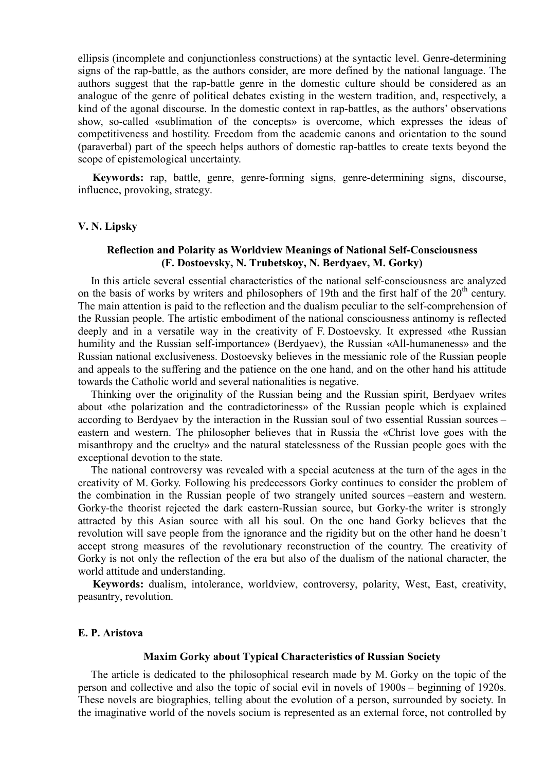ellipsis (incomplete and conjunctionless constructions) at the syntactic level. Genre-determining signs of the rap-battle, as the authors consider, are more defined by the national language. The authors suggest that the rap-battle genre in the domestic culture should be considered as an analogue of the genre of political debates existing in the western tradition, and, respectively, a kind of the agonal discourse. In the domestic context in rap-battles, as the authors' observations show, so-called «sublimation of the concepts» is overcome, which expresses the ideas of competitiveness and hostility. Freedom from the academic canons and orientation to the sound (paraverbal) part of the speech helps authors of domestic rap-battles to create texts beyond the scope of epistemological uncertainty.

**Keywords:** rap, battle, genre, genre-forming signs, genre-determining signs, discourse, influence, provoking, strategy.

### **V. N. Lipsky**

## **Reflection and Polarity as Worldview Meanings of National Self-Consciousness (F. Dostoevsky, N. Trubetskoy, N. Berdyaev, M. Gorky)**

In this article several essential characteristics of the national self-consciousness are analyzed on the basis of works by writers and philosophers of 19th and the first half of the  $20<sup>th</sup>$  century. The main attention is paid to the reflection and the dualism peculiar to the self-comprehension of the Russian people. The artistic embodiment of the national consciousness antinomy is reflected deeply and in a versatile way in the creativity of F. Dostoevsky. It expressed «the Russian humility and the Russian self-importance» (Berdyaev), the Russian «All-humaneness» and the Russian national exclusiveness. Dostoevsky believes in the messianic role of the Russian people and appeals to the suffering and the patience on the one hand, and on the other hand his attitude towards the Catholic world and several nationalities is negative.

Thinking over the originality of the Russian being and the Russian spirit, Berdyaev writes about «the polarization and the contradictoriness» of the Russian people which is explained according to Berdyaev by the interaction in the Russian soul of two essential Russian sources – eastern and western. The philosopher believes that in Russia the «Christ love goes with the misanthropy and the cruelty» and the natural statelessness of the Russian people goes with the exceptional devotion to the state.

The national controversy was revealed with a special acuteness at the turn of the ages in the creativity of M. Gorky. Following his predecessors Gorky continues to consider the problem of the combination in the Russian people of two strangely united sources –eastern and western. Gorky-the theorist rejected the dark eastern-Russian source, but Gorky-the writer is strongly attracted by this Asian source with all his soul. On the one hand Gorky believes that the revolution will save people from the ignorance and the rigidity but on the other hand he doesn't accept strong measures of the revolutionary reconstruction of the country. The creativity of Gorky is not only the reflection of the era but also of the dualism of the national character, the world attitude and understanding.

**Keywords:** dualism, intolerance, worldview, controversy, polarity, West, East, creativity, peasantry, revolution.

## **E. P. Aristova**

### **Maxim Gorky about Typical Characteristics of Russian Society**

The article is dedicated to the philosophical research made by M. Gorky on the topic of the person and collective and also the topic of social evil in novels of 1900s – beginning of 1920s. These novels are biographies, telling about the evolution of a person, surrounded by society. In the imaginative world of the novels socium is represented as an external force, not controlled by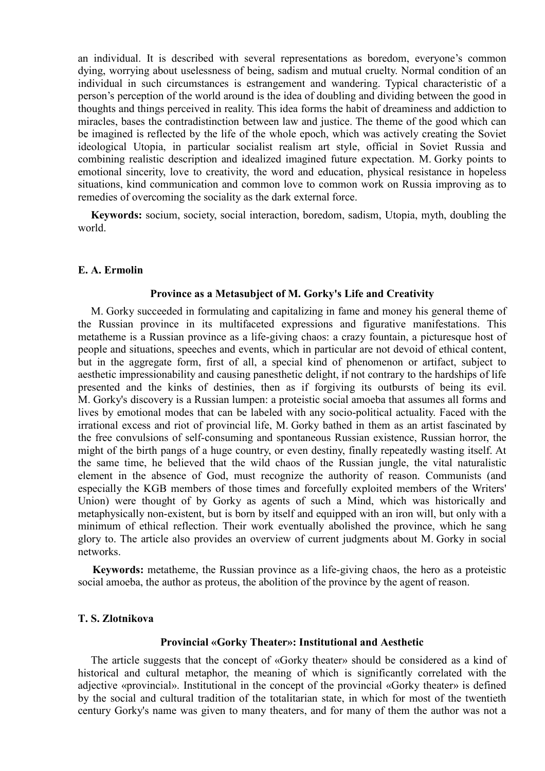an individual. It is described with several representations as boredom, everyone's common dying, worrying about uselessness of being, sadism and mutual cruelty. Normal condition of an individual in such circumstances is estrangement and wandering. Typical characteristic of a person's perception of the world around is the idea of doubling and dividing between the good in thoughts and things perceived in reality. This idea forms the habit of dreaminess and addiction to miracles, bases the contradistinction between law and justice. The theme of the good which can be imagined is reflected by the life of the whole epoch, which was actively creating the Soviet ideological Utopia, in particular socialist realism art style, official in Soviet Russia and combining realistic description and idealized imagined future expectation. M. Gorky points to emotional sincerity, love to creativity, the word and education, physical resistance in hopeless situations, kind communication and common love to common work on Russia improving as to remedies of overcoming the sociality as the dark external force.

**Keywords:** socium, society, social interaction, boredom, sadism, Utopia, myth, doubling the world.

### **E. A. Ermolin**

#### **Province as a Metasubject of M. Gorky's Life and Creativity**

M. Gorky succeeded in formulating and capitalizing in fame and money his general theme of the Russian province in its multifaceted expressions and figurative manifestations. This metatheme is a Russian province as a life-giving chaos: a crazy fountain, a picturesque host of people and situations, speeches and events, which in particular are not devoid of ethical content, but in the aggregate form, first of all, a special kind of phenomenon or artifact, subject to aesthetic impressionability and causing panesthetic delight, if not contrary to the hardships of life presented and the kinks of destinies, then as if forgiving its outbursts of being its evil. M. Gorky's discovery is a Russian lumpen: a proteistic social amoeba that assumes all forms and lives by emotional modes that can be labeled with any socio-political actuality. Faced with the irrational excess and riot of provincial life, M. Gorky bathed in them as an artist fascinated by the free convulsions of self-consuming and spontaneous Russian existence, Russian horror, the might of the birth pangs of a huge country, or even destiny, finally repeatedly wasting itself. At the same time, he believed that the wild chaos of the Russian jungle, the vital naturalistic element in the absence of God, must recognize the authority of reason. Communists (and especially the KGB members of those times and forcefully exploited members of the Writers' Union) were thought of by Gorky as agents of such a Mind, which was historically and metaphysically non-existent, but is born by itself and equipped with an iron will, but only with a minimum of ethical reflection. Their work eventually abolished the province, which he sang glory to. The article also provides an overview of current judgments about M. Gorky in social networks.

**Keywords:** metatheme, the Russian province as a life-giving chaos, the hero as a proteistic social amoeba, the author as proteus, the abolition of the province by the agent of reason.

### **T. S. Zlotnikova**

#### **Provincial «Gorky Theater»: Institutional and Aesthetic**

The article suggests that the concept of «Gorky theater» should be considered as a kind of historical and cultural metaphor, the meaning of which is significantly correlated with the adjective «provincial». Institutional in the concept of the provincial «Gorky theater» is defined by the social and cultural tradition of the totalitarian state, in which for most of the twentieth century Gorky's name was given to many theaters, and for many of them the author was not a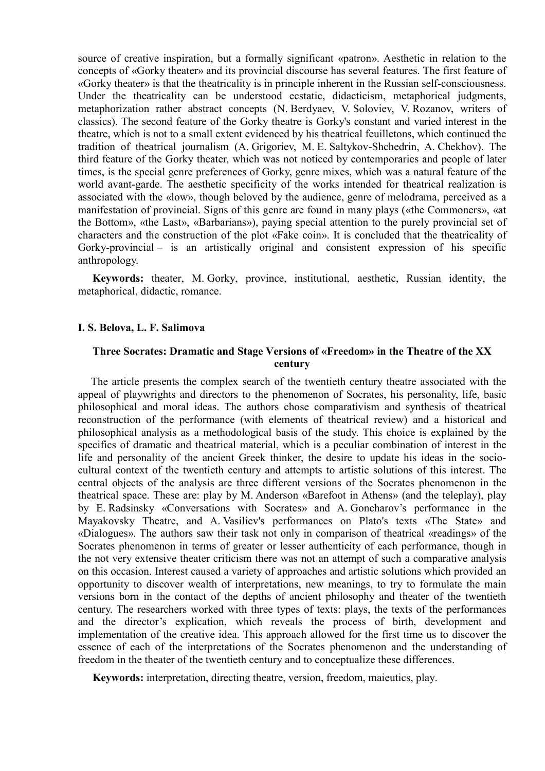source of creative inspiration, but a formally significant «patron». Aesthetic in relation to the concepts of «Gorky theater» and its provincial discourse has several features. The first feature of «Gorky theater» is that the theatricality is in principle inherent in the Russian self-consciousness. Under the theatricality can be understood ecstatic, didacticism, metaphorical judgments, metaphorization rather abstract concepts (N. Berdyaev, V. Soloviev, V. Rozanov, writers of classics). The second feature of the Gorky theatre is Gorky's constant and varied interest in the theatre, which is not to a small extent evidenced by his theatrical feuilletons, which continued the tradition of theatrical journalism (A. Grigoriev, M. E. Saltykov-Shchedrin, A. Chekhov). The third feature of the Gorky theater, which was not noticed by contemporaries and people of later times, is the special genre preferences of Gorky, genre mixes, which was a natural feature of the world avant-garde. The aesthetic specificity of the works intended for theatrical realization is associated with the «low», though beloved by the audience, genre of melodrama, perceived as a manifestation of provincial. Signs of this genre are found in many plays («the Commoners», «at the Bottom», «the Last», «Barbarians»), paying special attention to the purely provincial set of characters and the construction of the plot «Fake coin». It is concluded that the theatricality of Gorky-provincial – is an artistically original and consistent expression of his specific anthropology.

**Keywords:** theater, M. Gorky, province, institutional, aesthetic, Russian identity, the metaphorical, didactic, romance.

## **I. S. Belova, L. F. Salimova**

# **Three Socrates: Dramatic and Stage Versions of «Freedom» in the Theatre of the XX century**

The article presents the complex search of the twentieth century theatre associated with the appeal of playwrights and directors to the phenomenon of Socrates, his personality, life, basic philosophical and moral ideas. The authors chose comparativism and synthesis of theatrical reconstruction of the performance (with elements of theatrical review) and a historical and philosophical analysis as a methodological basis of the study. This choice is explained by the specifics of dramatic and theatrical material, which is a peculiar combination of interest in the life and personality of the ancient Greek thinker, the desire to update his ideas in the sociocultural context of the twentieth century and attempts to artistic solutions of this interest. The central objects of the analysis are three different versions of the Socrates phenomenon in the theatrical space. These are: play by M. Anderson «Barefoot in Athens» (and the teleplay), play by E. Radsinsky «Conversations with Socrates» and A. Goncharov's performance in the Mayakovsky Theatre, and A. Vasiliev's performances on Plato's texts «The State» and «Dialogues». The authors saw their task not only in comparison of theatrical «readings» of the Socrates phenomenon in terms of greater or lesser authenticity of each performance, though in the not very extensive theater criticism there was not an attempt of such a comparative analysis on this occasion. Interest caused a variety of approaches and artistic solutions which provided an opportunity to discover wealth of interpretations, new meanings, to try to formulate the main versions born in the contact of the depths of ancient philosophy and theater of the twentieth century. The researchers worked with three types of texts: plays, the texts of the performances and the director's explication, which reveals the process of birth, development and implementation of the creative idea. This approach allowed for the first time us to discover the essence of each of the interpretations of the Socrates phenomenon and the understanding of freedom in the theater of the twentieth century and to conceptualize these differences.

**Keywords:** interpretation, directing theatre, version, freedom, maieutics, play.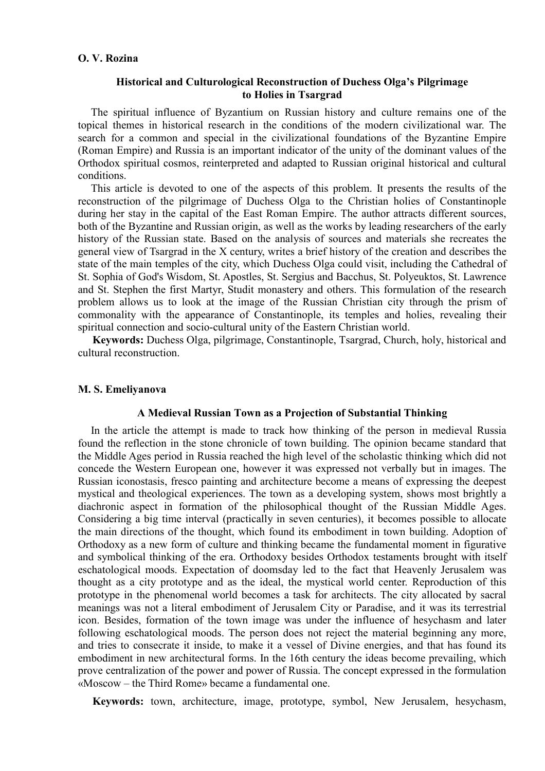## **O. V. Rozina**

# **Historical and Culturological Reconstruction of Duchess Olga's Pilgrimage to Holies in Tsargrad**

The spiritual influence of Byzantium on Russian history and culture remains one of the topical themes in historical research in the conditions of the modern civilizational war. The search for a common and special in the civilizational foundations of the Byzantine Empire (Roman Empire) and Russia is an important indicator of the unity of the dominant values of the Orthodox spiritual cosmos, reinterpreted and adapted to Russian original historical and cultural conditions.

This article is devoted to one of the aspects of this problem. It presents the results of the reconstruction of the pilgrimage of Duchess Olga to the Christian holies of Constantinople during her stay in the capital of the East Roman Empire. The author attracts different sources, both of the Byzantine and Russian origin, as well as the works by leading researchers of the early history of the Russian state. Based on the analysis of sources and materials she recreates the general view of Tsargrad in the X century, writes a brief history of the creation and describes the state of the main temples of the city, which Duchess Olga could visit, including the Cathedral of St. Sophia of God's Wisdom, St. Apostles, St. Sergius and Bacchus, St. Polyeuktos, St. Lawrence and St. Stephen the first Martyr, Studit monastery and others. This formulation of the research problem allows us to look at the image of the Russian Christian city through the prism of commonality with the appearance of Constantinople, its temples and holies, revealing their spiritual connection and socio-cultural unity of the Eastern Christian world.

**Keywords:** Duchess Olga, pilgrimage, Constantinople, Tsargrad, Church, holy, historical and cultural reconstruction.

## **M. S. Emeliyanova**

#### **A Medieval Russian Town as a Projection of Substantial Thinking**

In the article the attempt is made to track how thinking of the person in medieval Russia found the reflection in the stone chronicle of town building. The opinion became standard that the Middle Ages period in Russia reached the high level of the scholastic thinking which did not concede the Western European one, however it was expressed not verbally but in images. The Russian iconostasis, fresco painting and architecture become a means of expressing the deepest mystical and theological experiences. The town as a developing system, shows most brightly a diachronic aspect in formation of the philosophical thought of the Russian Middle Ages. Considering a big time interval (practically in seven centuries), it becomes possible to allocate the main directions of the thought, which found its embodiment in town building. Adoption of Orthodoxy as a new form of culture and thinking became the fundamental moment in figurative and symbolical thinking of the era. Orthodoxy besides Orthodox testaments brought with itself eschatological moods. Expectation of doomsday led to the fact that Heavenly Jerusalem was thought as a city prototype and as the ideal, the mystical world center. Reproduction of this prototype in the phenomenal world becomes a task for architects. The city allocated by sacral meanings was not a literal embodiment of Jerusalem City or Paradise, and it was its terrestrial icon. Besides, formation of the town image was under the influence of hesychasm and later following eschatological moods. The person does not reject the material beginning any more, and tries to consecrate it inside, to make it a vessel of Divine energies, and that has found its embodiment in new architectural forms. In the 16th century the ideas become prevailing, which prove centralization of the power and power of Russia. The concept expressed in the formulation «Moscow – the Third Rome» became a fundamental one.

**Keywords:** town, architecture, image, prototype, symbol, New Jerusalem, hesychasm,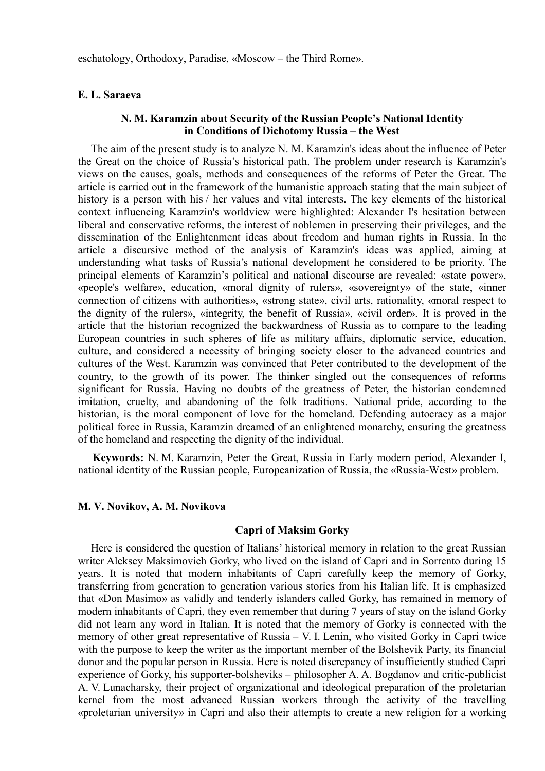## **E. L. Saraeva**

# **N. M. Karamzin about Security of the Russian People's National Identity in Conditions of Dichotomy Russia – the West**

The aim of the present study is to analyze N. M. Karamzin's ideas about the influence of Peter the Great on the choice of Russia's historical path. The problem under research is Karamzin's views on the causes, goals, methods and consequences of the reforms of Peter the Great. The article is carried out in the framework of the humanistic approach stating that the main subject of history is a person with his / her values and vital interests. The key elements of the historical context influencing Karamzin's worldview were highlighted: Alexander I's hesitation between liberal and conservative reforms, the interest of noblemen in preserving their privileges, and the dissemination of the Enlightenment ideas about freedom and human rights in Russia. In the article a discursive method of the analysis of Karamzin's ideas was applied, aiming at understanding what tasks of Russia's national development he considered to be priority. The principal elements of Karamzin's political and national discourse are revealed: «state power», «people's welfare», education, «moral dignity of rulers», «sovereignty» of the state, «inner connection of citizens with authorities», «strong state», civil arts, rationality, «moral respect to the dignity of the rulers», «integrity, the benefit of Russia», «civil order». It is proved in the article that the historian recognized the backwardness of Russia as to compare to the leading European countries in such spheres of life as military affairs, diplomatic service, education, culture, and considered a necessity of bringing society closer to the advanced countries and cultures of the West. Karamzin was convinced that Peter contributed to the development of the country, to the growth of its power. The thinker singled out the consequences of reforms significant for Russia. Having no doubts of the greatness of Peter, the historian condemned imitation, cruelty, and abandoning of the folk traditions. National pride, according to the historian, is the moral component of love for the homeland. Defending autocracy as a major political force in Russia, Karamzin dreamed of an enlightened monarchy, ensuring the greatness of the homeland and respecting the dignity of the individual.

**Keywords:** N. M. Karamzin, Peter the Great, Russia in Early modern period, Alexander I, national identity of the Russian people, Europeanization of Russia, the «Russia-West» problem.

#### **M. V. Novikov, A. M. Novikova**

## **Capri of Maksim Gorky**

Here is considered the question of Italians' historical memory in relation to the great Russian writer Aleksey Maksimovich Gorky, who lived on the island of Capri and in Sorrento during 15 years. It is noted that modern inhabitants of Capri carefully keep the memory of Gorky, transferring from generation to generation various stories from his Italian life. It is emphasized that «Don Masimo» as validly and tenderly islanders called Gorky, has remained in memory of modern inhabitants of Capri, they even remember that during 7 years of stay on the island Gorky did not learn any word in Italian. It is noted that the memory of Gorky is connected with the memory of other great representative of Russia – V. I. Lenin, who visited Gorky in Capri twice with the purpose to keep the writer as the important member of the Bolshevik Party, its financial donor and the popular person in Russia. Here is noted discrepancy of insufficiently studied Capri experience of Gorky, his supporter-bolsheviks – philosopher A. A. Bogdanov and critic-publicist A. V. Lunacharsky, their project of organizational and ideological preparation of the proletarian kernel from the most advanced Russian workers through the activity of the travelling «proletarian university» in Capri and also their attempts to create a new religion for a working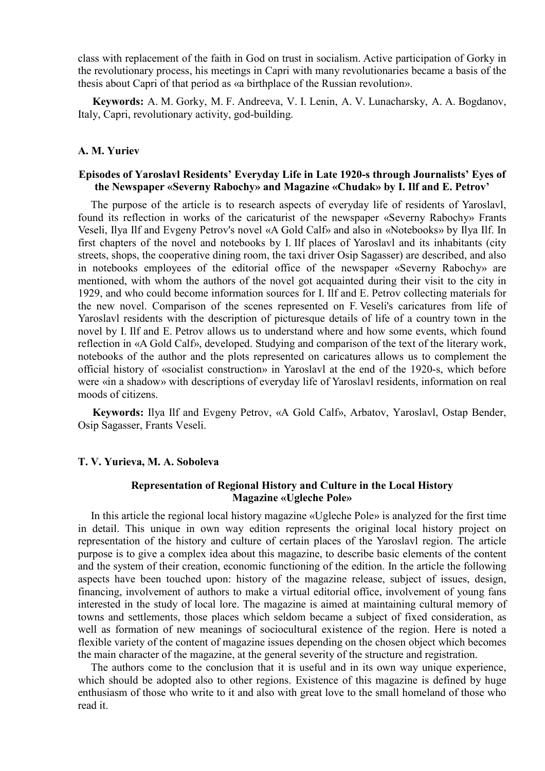class with replacement of the faith in God on trust in socialism. Active participation of Gorky in the revolutionary process, his meetings in Capri with many revolutionaries became a basis of the thesis about Capri of that period as «a birthplace of the Russian revolution».

**Keywords:** A. M. Gorky, M. F. Andreeva, V. I. Lenin, A. V. Lunacharsky, A. A. Bogdanov, Italy, Capri, revolutionary activity, god-building.

# **A. M. Yuriev**

# **Episodes of Yaroslavl Residents' Everyday Life in Late 1920-s through Journalists' Eyes of the Newspaper «Severny Rabochy» and Magazine «Chudak» by I. Ilf and E. Petrov'**

The purpose of the article is to research aspects of everyday life of residents of Yaroslavl, found its reflection in works of the caricaturist of the newspaper «Severny Rabochy» Frants Veseli, Ilya Ilf and Evgeny Petrov's novel «A Gold Calf» and also in «Notebooks» by Ilya Ilf. In first chapters of the novel and notebooks by I. Ilf places of Yaroslavl and its inhabitants (city streets, shops, the cooperative dining room, the taxi driver Osip Sagasser) are described, and also in notebooks employees of the editorial office of the newspaper «Severny Rabochy» are mentioned, with whom the authors of the novel got acquainted during their visit to the city in 1929, and who could become information sources for I. Ilf and E. Petrov collecting materials for the new novel. Comparison of the scenes represented on F. Veseli's caricatures from life of Yaroslavl residents with the description of picturesque details of life of a country town in the novel by I. Ilf and E. Petrov allows us to understand where and how some events, which found reflection in «A Gold Calf», developed. Studying and comparison of the text of the literary work, notebooks of the author and the plots represented on caricatures allows us to complement the official history of «socialist construction» in Yaroslavl at the end of the 1920-s, which before were «in a shadow» with descriptions of everyday life of Yaroslavl residents, information on real moods of citizens.

**Keywords:** Ilya Ilf and Evgeny Petrov, «A Gold Calf», Arbatov, Yaroslavl, Ostap Bender, Osip Sagasser, Frants Veseli.

# **T. V. Yurieva, M. A. Soboleva**

## **Representation of Regional History and Culture in the Local History Magazine «Ugleche Pole»**

In this article the regional local history magazine «Ugleche Pole» is analyzed for the first time in detail. This unique in own way edition represents the original local history project on representation of the history and culture of certain places of the Yaroslavl region. The article purpose is to give a complex idea about this magazine, to describe basic elements of the content and the system of their creation, economic functioning of the edition. In the article the following aspects have been touched upon: history of the magazine release, subject of issues, design, financing, involvement of authors to make a virtual editorial office, involvement of young fans interested in the study of local lore. The magazine is aimed at maintaining cultural memory of towns and settlements, those places which seldom became a subject of fixed consideration, as well as formation of new meanings of sociocultural existence of the region. Here is noted a flexible variety of the content of magazine issues depending on the chosen object which becomes the main character of the magazine, at the general severity of the structure and registration.

The authors come to the conclusion that it is useful and in its own way unique experience, which should be adopted also to other regions. Existence of this magazine is defined by huge enthusiasm of those who write to it and also with great love to the small homeland of those who read it.